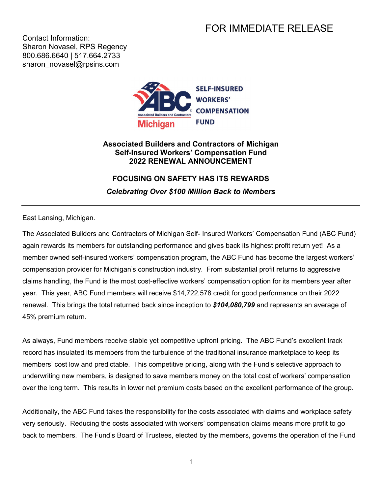## FOR IMMEDIATE RELEASE

Contact Information: Sharon Novasel, RPS Regency 800.686.6640 | 517.664.2733 sharon\_novasel@rpsins.com



## **Associated Builders and Contractors of Michigan Self-Insured Workers' Compensation Fund 2022 RENEWAL ANNOUNCEMENT**

## **FOCUSING ON SAFETY HAS ITS REWARDS**

*Celebrating Over \$100 Million Back to Members*

East Lansing, Michigan.

The Associated Builders and Contractors of Michigan Self- Insured Workers' Compensation Fund (ABC Fund) again rewards its members for outstanding performance and gives back its highest profit return yet! As a member owned self-insured workers' compensation program, the ABC Fund has become the largest workers' compensation provider for Michigan's construction industry. From substantial profit returns to aggressive claims handling, the Fund is the most cost-effective workers' compensation option for its members year after year. This year, ABC Fund members will receive \$14,722,578 credit for good performance on their 2022 renewal. This brings the total returned back since inception to *\$104,080,799* and represents an average of 45% premium return.

As always, Fund members receive stable yet competitive upfront pricing. The ABC Fund's excellent track record has insulated its members from the turbulence of the traditional insurance marketplace to keep its members' cost low and predictable. This competitive pricing, along with the Fund's selective approach to underwriting new members, is designed to save members money on the total cost of workers' compensation over the long term. This results in lower net premium costs based on the excellent performance of the group.

Additionally, the ABC Fund takes the responsibility for the costs associated with claims and workplace safety very seriously. Reducing the costs associated with workers' compensation claims means more profit to go back to members. The Fund's Board of Trustees, elected by the members, governs the operation of the Fund

1